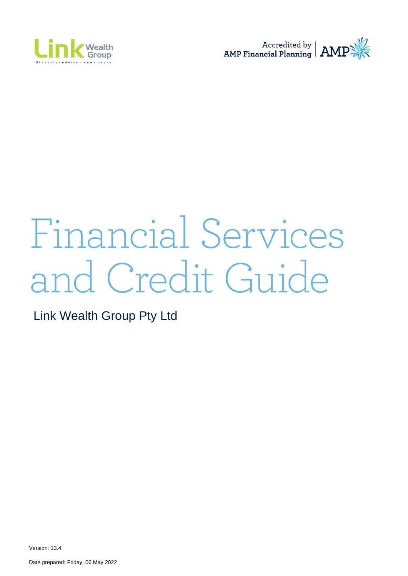



# Financial Services and Credit Guide

Link Wealth Group Pty Ltd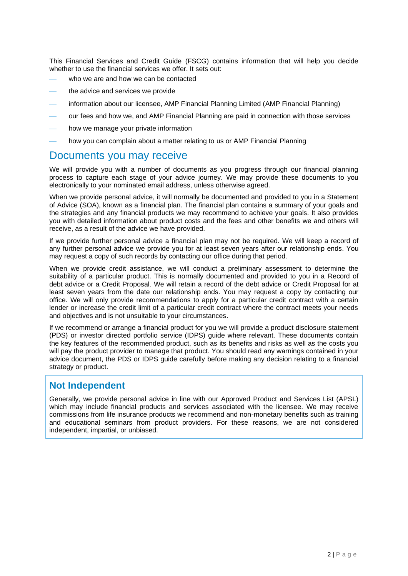This Financial Services and Credit Guide (FSCG) contains information that will help you decide whether to use the financial services we offer. It sets out:

- who we are and how we can be contacted
- the advice and services we provide
- information about our licensee, AMP Financial Planning Limited (AMP Financial Planning)
- our fees and how we, and AMP Financial Planning are paid in connection with those services
- how we manage your private information
- how you can complain about a matter relating to us or AMP Financial Planning

### Documents you may receive

We will provide you with a number of documents as you progress through our financial planning process to capture each stage of your advice journey. We may provide these documents to you electronically to your nominated email address, unless otherwise agreed.

When we provide personal advice, it will normally be documented and provided to you in a Statement of Advice (SOA), known as a financial plan. The financial plan contains a summary of your goals and the strategies and any financial products we may recommend to achieve your goals. It also provides you with detailed information about product costs and the fees and other benefits we and others will receive, as a result of the advice we have provided.

If we provide further personal advice a financial plan may not be required. We will keep a record of any further personal advice we provide you for at least seven years after our relationship ends. You may request a copy of such records by contacting our office during that period.

When we provide credit assistance, we will conduct a preliminary assessment to determine the suitability of a particular product. This is normally documented and provided to you in a Record of debt advice or a Credit Proposal. We will retain a record of the debt advice or Credit Proposal for at least seven years from the date our relationship ends. You may request a copy by contacting our office. We will only provide recommendations to apply for a particular credit contract with a certain lender or increase the credit limit of a particular credit contract where the contract meets your needs and objectives and is not unsuitable to your circumstances.

If we recommend or arrange a financial product for you we will provide a product disclosure statement (PDS) or investor directed portfolio service (IDPS) guide where relevant. These documents contain the key features of the recommended product, such as its benefits and risks as well as the costs you will pay the product provider to manage that product. You should read any warnings contained in your advice document, the PDS or IDPS guide carefully before making any decision relating to a financial strategy or product.

### **Not Independent**

Generally, we provide personal advice in line with our Approved Product and Services List (APSL) which may include financial products and services associated with the licensee. We may receive commissions from life insurance products we recommend and non-monetary benefits such as training and educational seminars from product providers. For these reasons, we are not considered independent, impartial, or unbiased.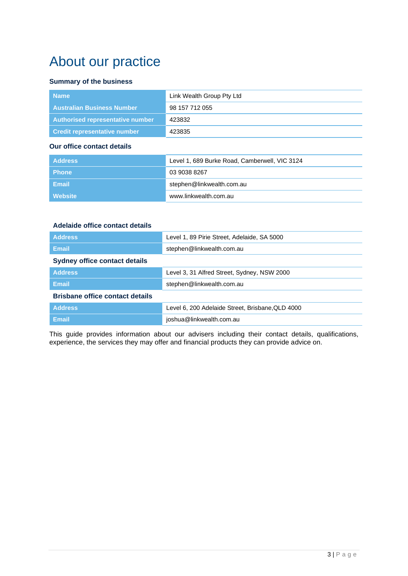# About our practice

### **Summary of the business**

| <b>Name</b>                       | Link Wealth Group Pty Ltd |
|-----------------------------------|---------------------------|
| <b>Australian Business Number</b> | 98 157 712 055            |
| Authorised representative number  | 423832                    |
| Credit representative number      | 423835                    |

### **Our office contact details**

| Address      | Level 1, 689 Burke Road, Camberwell, VIC 3124 |
|--------------|-----------------------------------------------|
| <b>Phone</b> | 03 9038 8267                                  |
| Email        | stephen@linkwealth.com.au                     |
| Website      | www.linkwealth.com.au                         |

### **Adelaide office contact details**

| <b>Address</b>                         | Level 1, 89 Pirie Street, Adelaide, SA 5000      |  |
|----------------------------------------|--------------------------------------------------|--|
| <b>Email</b>                           | stephen@linkwealth.com.au                        |  |
| <b>Sydney office contact details</b>   |                                                  |  |
| <b>Address</b>                         | Level 3, 31 Alfred Street, Sydney, NSW 2000      |  |
| <b>Email</b>                           | stephen@linkwealth.com.au                        |  |
| <b>Brisbane office contact details</b> |                                                  |  |
| <b>Address</b>                         | Level 6, 200 Adelaide Street, Brisbane, QLD 4000 |  |
| <b>Email</b>                           | joshua@linkwealth.com.au                         |  |

This guide provides information about our advisers including their contact details, qualifications, experience, the services they may offer and financial products they can provide advice on.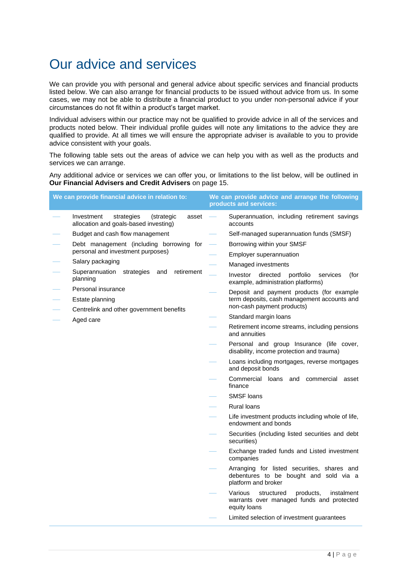# Our advice and services

We can provide you with personal and general advice about specific services and financial products listed below. We can also arrange for financial products to be issued without advice from us. In some cases, we may not be able to distribute a financial product to you under non-personal advice if your circumstances do not fit within a product's target market.

Individual advisers within our practice may not be qualified to provide advice in all of the services and products noted below. Their individual profile guides will note any limitations to the advice they are qualified to provide. At all times we will ensure the appropriate adviser is available to you to provide advice consistent with your goals.

The following table sets out the areas of advice we can help you with as well as the products and services we can arrange.

Any additional advice or services we can offer you, or limitations to the list below, will be outlined in **Our Financial Advisers and Credit Advisers** on page 15.

|  | We can provide financial advice in relation to:                                          | We can provide advice and arrange the following<br>products and services:                                     |
|--|------------------------------------------------------------------------------------------|---------------------------------------------------------------------------------------------------------------|
|  | Investment<br>strategies<br>(strategic<br>asset<br>allocation and goals-based investing) | Superannuation, including retirement savings<br>accounts                                                      |
|  | Budget and cash flow management                                                          | Self-managed superannuation funds (SMSF)                                                                      |
|  | Debt management (including borrowing for                                                 | Borrowing within your SMSF                                                                                    |
|  | personal and investment purposes)                                                        | Employer superannuation                                                                                       |
|  | Salary packaging                                                                         | Managed investments                                                                                           |
|  | Superannuation strategies<br>retirement<br>and<br>planning                               | Investor<br>directed<br>portfolio<br>services<br>(for<br>example, administration platforms)                   |
|  | Personal insurance                                                                       | Deposit and payment products (for example                                                                     |
|  | Estate planning                                                                          | term deposits, cash management accounts and<br>non-cash payment products)                                     |
|  | Centrelink and other government benefits                                                 | Standard margin loans                                                                                         |
|  | Aged care                                                                                | Retirement income streams, including pensions                                                                 |
|  |                                                                                          | and annuities                                                                                                 |
|  |                                                                                          | Personal and group Insurance (life cover,<br>disability, income protection and trauma)                        |
|  |                                                                                          | Loans including mortgages, reverse mortgages<br>and deposit bonds                                             |
|  |                                                                                          | Commercial loans<br>and<br>commercial<br>asset<br>finance                                                     |
|  | <b>SMSF</b> loans                                                                        |                                                                                                               |
|  |                                                                                          | <b>Rural loans</b>                                                                                            |
|  |                                                                                          | Life investment products including whole of life,<br>endowment and bonds                                      |
|  |                                                                                          | Securities (including listed securities and debt<br>securities)                                               |
|  |                                                                                          | Exchange traded funds and Listed investment<br>companies                                                      |
|  |                                                                                          | Arranging for listed securities, shares and<br>debentures to be bought and sold via a<br>platform and broker  |
|  |                                                                                          | Various<br>products,<br>instalment<br>structured<br>warrants over managed funds and protected<br>equity loans |
|  |                                                                                          | Limited selection of investment guarantees                                                                    |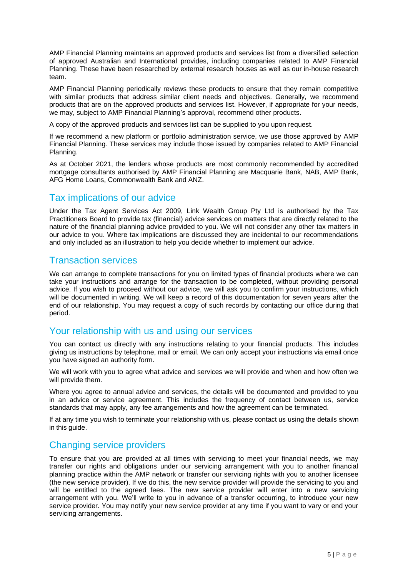AMP Financial Planning maintains an approved products and services list from a diversified selection of approved Australian and International provides, including companies related to AMP Financial Planning. These have been researched by external research houses as well as our in-house research team.

AMP Financial Planning periodically reviews these products to ensure that they remain competitive with similar products that address similar client needs and objectives. Generally, we recommend products that are on the approved products and services list. However, if appropriate for your needs, we may, subject to AMP Financial Planning's approval, recommend other products.

A copy of the approved products and services list can be supplied to you upon request.

If we recommend a new platform or portfolio administration service, we use those approved by AMP Financial Planning. These services may include those issued by companies related to AMP Financial Planning.

As at October 2021, the lenders whose products are most commonly recommended by accredited mortgage consultants authorised by AMP Financial Planning are Macquarie Bank, NAB, AMP Bank, AFG Home Loans, Commonwealth Bank and ANZ.

### Tax implications of our advice

Under the Tax Agent Services Act 2009, Link Wealth Group Pty Ltd is authorised by the Tax Practitioners Board to provide tax (financial) advice services on matters that are directly related to the nature of the financial planning advice provided to you. We will not consider any other tax matters in our advice to you. Where tax implications are discussed they are incidental to our recommendations and only included as an illustration to help you decide whether to implement our advice.

### Transaction services

We can arrange to complete transactions for you on limited types of financial products where we can take your instructions and arrange for the transaction to be completed, without providing personal advice. If you wish to proceed without our advice, we will ask you to confirm your instructions, which will be documented in writing. We will keep a record of this documentation for seven years after the end of our relationship. You may request a copy of such records by contacting our office during that period.

### Your relationship with us and using our services

You can contact us directly with any instructions relating to your financial products. This includes giving us instructions by telephone, mail or email. We can only accept your instructions via email once you have signed an authority form.

We will work with you to agree what advice and services we will provide and when and how often we will provide them.

Where you agree to annual advice and services, the details will be documented and provided to you in an advice or service agreement. This includes the frequency of contact between us, service standards that may apply, any fee arrangements and how the agreement can be terminated.

If at any time you wish to terminate your relationship with us, please contact us using the details shown in this guide.

### Changing service providers

To ensure that you are provided at all times with servicing to meet your financial needs, we may transfer our rights and obligations under our servicing arrangement with you to another financial planning practice within the AMP network or transfer our servicing rights with you to another licensee (the new service provider). If we do this, the new service provider will provide the servicing to you and will be entitled to the agreed fees. The new service provider will enter into a new servicing arrangement with you. We'll write to you in advance of a transfer occurring, to introduce your new service provider. You may notify your new service provider at any time if you want to vary or end your servicing arrangements.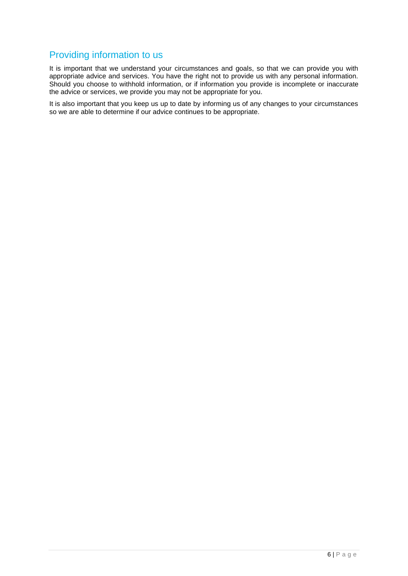# Providing information to us

It is important that we understand your circumstances and goals, so that we can provide you with appropriate advice and services. You have the right not to provide us with any personal information. Should you choose to withhold information, or if information you provide is incomplete or inaccurate the advice or services, we provide you may not be appropriate for you.

It is also important that you keep us up to date by informing us of any changes to your circumstances so we are able to determine if our advice continues to be appropriate.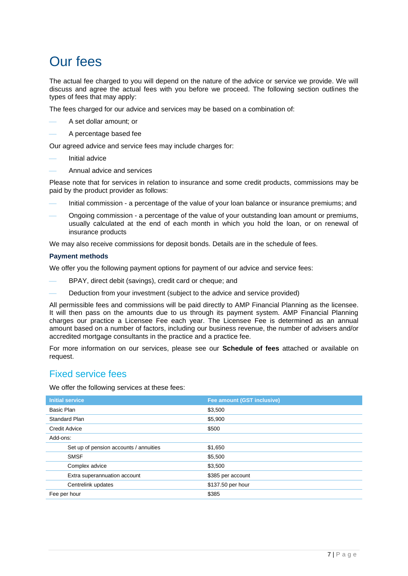# Our fees

The actual fee charged to you will depend on the nature of the advice or service we provide. We will discuss and agree the actual fees with you before we proceed. The following section outlines the types of fees that may apply:

The fees charged for our advice and services may be based on a combination of:

- ⎯ A set dollar amount; or
- ⎯ A percentage based fee

Our agreed advice and service fees may include charges for:

- Initial advice
- ⎯ Annual advice and services

Please note that for services in relation to insurance and some credit products, commissions may be paid by the product provider as follows:

- Initial commission a percentage of the value of your loan balance or insurance premiums; and
- Ongoing commission a percentage of the value of your outstanding loan amount or premiums, usually calculated at the end of each month in which you hold the loan, or on renewal of insurance products

We may also receive commissions for deposit bonds. Details are in the schedule of fees.

#### **Payment methods**

We offer you the following payment options for payment of our advice and service fees:

- BPAY, direct debit (savings), credit card or cheque; and
- Deduction from your investment (subject to the advice and service provided)

All permissible fees and commissions will be paid directly to AMP Financial Planning as the licensee. It will then pass on the amounts due to us through its payment system. AMP Financial Planning charges our practice a Licensee Fee each year. The Licensee Fee is determined as an annual amount based on a number of factors, including our business revenue, the number of advisers and/or accredited mortgage consultants in the practice and a practice fee.

For more information on our services, please see our **Schedule of fees** attached or available on request.

### Fixed service fees

We offer the following services at these fees:

| <b>Initial service</b>                 | Fee amount (GST inclusive) |
|----------------------------------------|----------------------------|
| Basic Plan                             | \$3,500                    |
| <b>Standard Plan</b>                   | \$5,900                    |
| <b>Credit Advice</b>                   | \$500                      |
| Add-ons:                               |                            |
| Set up of pension accounts / annuities | \$1,650                    |
| <b>SMSF</b>                            | \$5,500                    |
| Complex advice                         | \$3,500                    |
| Extra superannuation account           | \$385 per account          |
| Centrelink updates                     | \$137.50 per hour          |
| Fee per hour                           | \$385                      |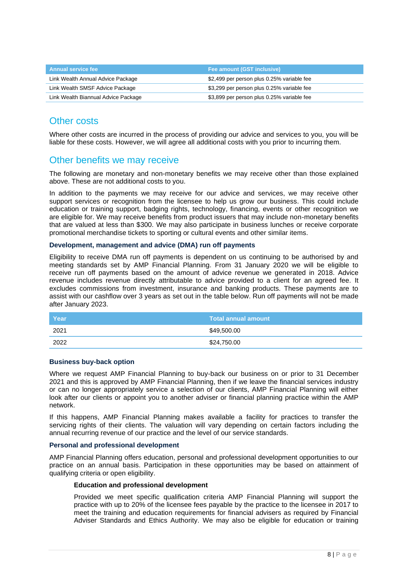| <b>Annual service fee</b>           | Fee amount (GST inclusive)                 |
|-------------------------------------|--------------------------------------------|
| Link Wealth Annual Advice Package   | \$2,499 per person plus 0.25% variable fee |
| Link Wealth SMSF Advice Package     | \$3,299 per person plus 0.25% variable fee |
| Link Wealth Biannual Advice Package | \$3,899 per person plus 0.25% variable fee |

## Other costs

Where other costs are incurred in the process of providing our advice and services to you, you will be liable for these costs. However, we will agree all additional costs with you prior to incurring them.

### Other benefits we may receive

The following are monetary and non-monetary benefits we may receive other than those explained above. These are not additional costs to you.

In addition to the payments we may receive for our advice and services, we may receive other support services or recognition from the licensee to help us grow our business. This could include education or training support, badging rights, technology, financing, events or other recognition we are eligible for. We may receive benefits from product issuers that may include non-monetary benefits that are valued at less than \$300. We may also participate in business lunches or receive corporate promotional merchandise tickets to sporting or cultural events and other similar items.

#### **Development, management and advice (DMA) run off payments**

Eligibility to receive DMA run off payments is dependent on us continuing to be authorised by and meeting standards set by AMP Financial Planning. From 31 January 2020 we will be eligible to receive run off payments based on the amount of advice revenue we generated in 2018. Advice revenue includes revenue directly attributable to advice provided to a client for an agreed fee. It excludes commissions from investment, insurance and banking products. These payments are to assist with our cashflow over 3 years as set out in the table below. Run off payments will not be made after January 2023.

| Year | Total annual amount |
|------|---------------------|
| 2021 | \$49,500.00         |
| 2022 | \$24,750.00         |

#### **Business buy-back option**

Where we request AMP Financial Planning to buy-back our business on or prior to 31 December 2021 and this is approved by AMP Financial Planning, then if we leave the financial services industry or can no longer appropriately service a selection of our clients, AMP Financial Planning will either look after our clients or appoint you to another adviser or financial planning practice within the AMP network.

If this happens, AMP Financial Planning makes available a facility for practices to transfer the servicing rights of their clients. The valuation will vary depending on certain factors including the annual recurring revenue of our practice and the level of our service standards.

#### **Personal and professional development**

AMP Financial Planning offers education, personal and professional development opportunities to our practice on an annual basis. Participation in these opportunities may be based on attainment of qualifying criteria or open eligibility.

#### **Education and professional development**

Provided we meet specific qualification criteria AMP Financial Planning will support the practice with up to 20% of the licensee fees payable by the practice to the licensee in 2017 to meet the training and education requirements for financial advisers as required by Financial Adviser Standards and Ethics Authority. We may also be eligible for education or training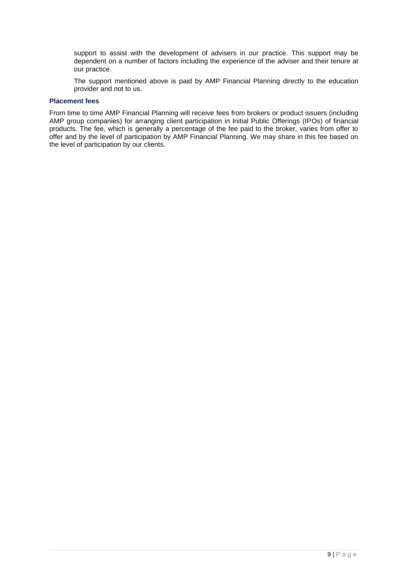support to assist with the development of advisers in our practice. This support may be dependent on a number of factors including the experience of the adviser and their tenure at our practice.

The support mentioned above is paid by AMP Financial Planning directly to the education provider and not to us.

#### **Placement fees**

From time to time AMP Financial Planning will receive fees from brokers or product issuers (including AMP group companies) for arranging client participation in Initial Public Offerings (IPOs) of financial products. The fee, which is generally a percentage of the fee paid to the broker, varies from offer to offer and by the level of participation by AMP Financial Planning. We may share in this fee based on the level of participation by our clients.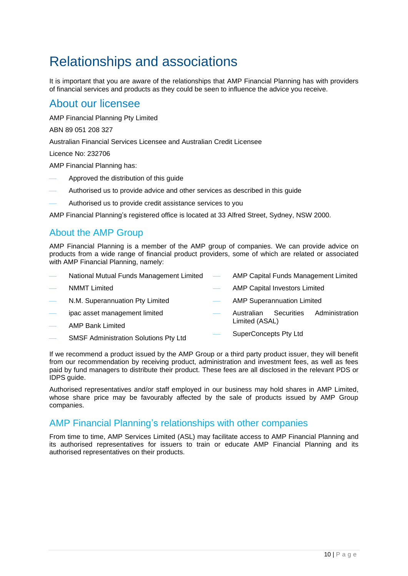# Relationships and associations

It is important that you are aware of the relationships that AMP Financial Planning has with providers of financial services and products as they could be seen to influence the advice you receive.

# About our licensee

AMP Financial Planning Pty Limited

ABN 89 051 208 327

Australian Financial Services Licensee and Australian Credit Licensee

Licence No: 232706

AMP Financial Planning has:

- ⎯ Approved the distribution of this guide
- Authorised us to provide advice and other services as described in this quide
- Authorised us to provide credit assistance services to you

AMP Financial Planning's registered office is located at 33 Alfred Street, Sydney, NSW 2000.

# About the AMP Group

AMP Financial Planning is a member of the AMP group of companies. We can provide advice on products from a wide range of financial product providers, some of which are related or associated with AMP Financial Planning, namely:

| $\overline{\phantom{a}}$ | National Mutual Funds Management Limited – |               |                |                                      | AMP Capital Funds Management Limited |
|--------------------------|--------------------------------------------|---------------|----------------|--------------------------------------|--------------------------------------|
| $\overline{\phantom{a}}$ | <b>NMMT Limited</b>                        |               |                | <b>AMP Capital Investors Limited</b> |                                      |
| $\overline{\phantom{0}}$ | N.M. Superannuation Pty Limited            |               |                | <b>AMP Superannuation Limited</b>    |                                      |
|                          | ipac asset management limited              | $\frac{1}{2}$ | Australian     | Securities                           | Administration                       |
|                          | $\blacksquare$                             |               | Limited (ASAL) |                                      |                                      |

- AMP Bank Limited
- SMSF Administration Solutions Pty Ltd
- SuperConcepts Pty Ltd

If we recommend a product issued by the AMP Group or a third party product issuer, they will benefit from our recommendation by receiving product, administration and investment fees, as well as fees paid by fund managers to distribute their product. These fees are all disclosed in the relevant PDS or IDPS guide.

Authorised representatives and/or staff employed in our business may hold shares in AMP Limited, whose share price may be favourably affected by the sale of products issued by AMP Group companies.

### AMP Financial Planning's relationships with other companies

From time to time, AMP Services Limited (ASL) may facilitate access to AMP Financial Planning and its authorised representatives for issuers to train or educate AMP Financial Planning and its authorised representatives on their products.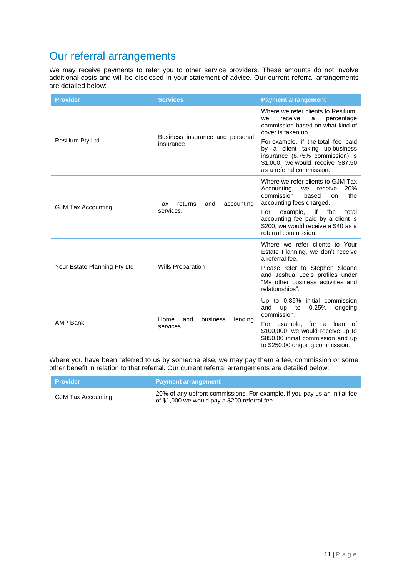# Our referral arrangements

We may receive payments to refer you to other service providers. These amounts do not involve additional costs and will be disclosed in your statement of advice. Our current referral arrangements are detailed below:

| <b>Provider</b>              | <b>Services</b>                                  | <b>Payment arrangement</b>                                                                                                                                                                                                                                                                                     |
|------------------------------|--------------------------------------------------|----------------------------------------------------------------------------------------------------------------------------------------------------------------------------------------------------------------------------------------------------------------------------------------------------------------|
| <b>Resilium Pty Ltd</b>      | Business insurance and personal<br>insurance     | Where we refer clients to Resilium,<br>receive<br>percentage<br>we<br>a<br>commission based on what kind of<br>cover is taken up.<br>For example, if the total fee paid<br>by a client taking up business<br>insurance (8.75% commission) is<br>\$1,000, we would receive \$87.50<br>as a referral commission. |
| <b>GJM Tax Accounting</b>    | Tax<br>returns<br>accounting<br>and<br>services. | Where we refer clients to GJM Tax<br>Accounting,<br>20%<br>we receive<br>commission<br>based<br>the<br>on.<br>accounting fees charged.<br>example,<br>if<br>For<br>the<br>total<br>accounting fee paid by a client is<br>\$200, we would receive a \$40 as a<br>referral commission.                           |
| Your Estate Planning Pty Ltd | <b>Wills Preparation</b>                         | Where we refer clients to Your<br>Estate Planning, we don't receive<br>a referral fee.<br>Please refer to Stephen Sloane<br>and Joshua Lee's profiles under<br>"My other business activities and<br>relationships".                                                                                            |
| <b>AMP Bank</b>              | Home<br>business<br>and<br>lending<br>services   | Up to 0.85% initial commission<br>and<br>up to<br>0.25%<br>ongoing<br>commission.<br>For example, for a loan of<br>\$100,000, we would receive up to<br>\$850.00 initial commission and up<br>to \$250.00 ongoing commission.                                                                                  |

Where you have been referred to us by someone else, we may pay them a fee, commission or some other benefit in relation to that referral. Our current referral arrangements are detailed below:

| <b>Provider</b>           | <b>Payment arrangement</b>                                                                                                 |
|---------------------------|----------------------------------------------------------------------------------------------------------------------------|
| <b>GJM Tax Accounting</b> | 20% of any upfront commissions. For example, if you pay us an initial fee<br>of \$1,000 we would pay a \$200 referral fee. |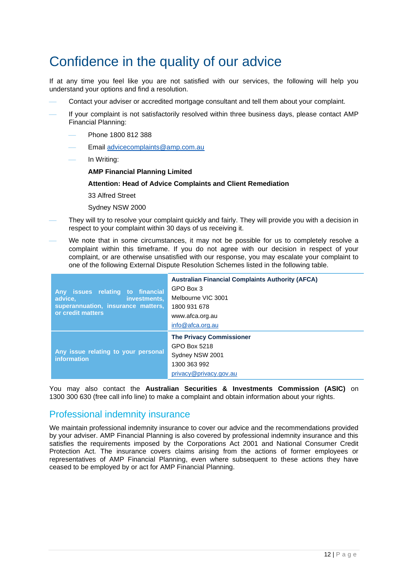# Confidence in the quality of our advice

If at any time you feel like you are not satisfied with our services, the following will help you understand your options and find a resolution.

- Contact your adviser or accredited mortgage consultant and tell them about your complaint.
- If your complaint is not satisfactorily resolved within three business days, please contact AMP Financial Planning:
	- ⎯ Phone 1800 812 388
	- Email [advicecomplaints@amp.com.au](mailto:advicecomplaints@amp.com.au)
	- In Writing:
		- **AMP Financial Planning Limited**

### **Attention: Head of Advice Complaints and Client Remediation**

33 Alfred Street

Sydney NSW 2000

- They will try to resolve your complaint quickly and fairly. They will provide you with a decision in respect to your complaint within 30 days of us receiving it.
- We note that in some circumstances, it may not be possible for us to completely resolve a complaint within this timeframe. If you do not agree with our decision in respect of your complaint, or are otherwise unsatisfied with our response, you may escalate your complaint to one of the following External Dispute Resolution Schemes listed in the following table.

| Any issues relating to financial<br>investments,<br>advice,<br>superannuation, insurance matters,<br>or credit matters | <b>Australian Financial Complaints Authority (AFCA)</b><br>GPO Box 3<br>Melbourne VIC 3001<br>1800 931 678<br>www.afca.org.au<br>info@afca.org.au |
|------------------------------------------------------------------------------------------------------------------------|---------------------------------------------------------------------------------------------------------------------------------------------------|
| Any issue relating to your personal<br>information                                                                     | <b>The Privacy Commissioner</b><br>GPO Box 5218<br>Sydney NSW 2001<br>1300 363 992<br>privacy@privacy.gov.au                                      |

You may also contact the **Australian Securities & Investments Commission (ASIC)** on 1300 300 630 (free call info line) to make a complaint and obtain information about your rights.

# Professional indemnity insurance

We maintain professional indemnity insurance to cover our advice and the recommendations provided by your adviser. AMP Financial Planning is also covered by professional indemnity insurance and this satisfies the requirements imposed by the Corporations Act 2001 and National Consumer Credit Protection Act. The insurance covers claims arising from the actions of former employees or representatives of AMP Financial Planning, even where subsequent to these actions they have ceased to be employed by or act for AMP Financial Planning.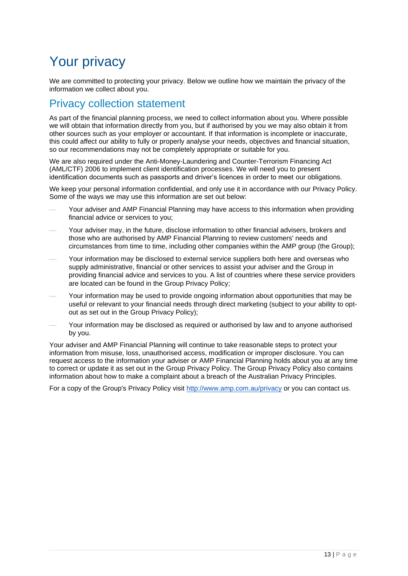# Your privacy

We are committed to protecting your privacy. Below we outline how we maintain the privacy of the information we collect about you.

# Privacy collection statement

As part of the financial planning process, we need to collect information about you. Where possible we will obtain that information directly from you, but if authorised by you we may also obtain it from other sources such as your employer or accountant. If that information is incomplete or inaccurate, this could affect our ability to fully or properly analyse your needs, objectives and financial situation, so our recommendations may not be completely appropriate or suitable for you.

We are also required under the Anti-Money-Laundering and Counter-Terrorism Financing Act (AML/CTF) 2006 to implement client identification processes. We will need you to present identification documents such as passports and driver's licences in order to meet our obligations.

We keep your personal information confidential, and only use it in accordance with our Privacy Policy. Some of the ways we may use this information are set out below:

- Your adviser and AMP Financial Planning may have access to this information when providing financial advice or services to you;
- Your adviser may, in the future, disclose information to other financial advisers, brokers and those who are authorised by AMP Financial Planning to review customers' needs and circumstances from time to time, including other companies within the AMP group (the Group);
- Your information may be disclosed to external service suppliers both here and overseas who supply administrative, financial or other services to assist your adviser and the Group in providing financial advice and services to you. A list of countries where these service providers are located can be found in the Group Privacy Policy;
- Your information may be used to provide ongoing information about opportunities that may be useful or relevant to your financial needs through direct marketing (subject to your ability to optout as set out in the Group Privacy Policy);
- Your information may be disclosed as required or authorised by law and to anyone authorised by you.

Your adviser and AMP Financial Planning will continue to take reasonable steps to protect your information from misuse, loss, unauthorised access, modification or improper disclosure. You can request access to the information your adviser or AMP Financial Planning holds about you at any time to correct or update it as set out in the Group Privacy Policy. The Group Privacy Policy also contains information about how to make a complaint about a breach of the Australian Privacy Principles.

For a copy of the Group's Privacy Policy visit<http://www.amp.com.au/privacy> or you can contact us.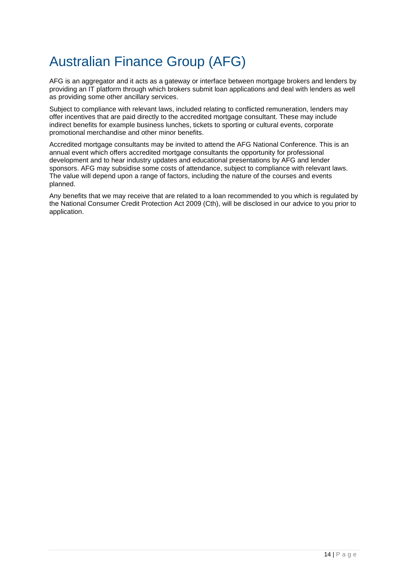# Australian Finance Group (AFG)

AFG is an aggregator and it acts as a gateway or interface between mortgage brokers and lenders by providing an IT platform through which brokers submit loan applications and deal with lenders as well as providing some other ancillary services.

Subject to compliance with relevant laws, included relating to conflicted remuneration, lenders may offer incentives that are paid directly to the accredited mortgage consultant. These may include indirect benefits for example business lunches, tickets to sporting or cultural events, corporate promotional merchandise and other minor benefits.

Accredited mortgage consultants may be invited to attend the AFG National Conference. This is an annual event which offers accredited mortgage consultants the opportunity for professional development and to hear industry updates and educational presentations by AFG and lender sponsors. AFG may subsidise some costs of attendance, subject to compliance with relevant laws. The value will depend upon a range of factors, including the nature of the courses and events planned.

Any benefits that we may receive that are related to a loan recommended to you which is regulated by the National Consumer Credit Protection Act 2009 (Cth), will be disclosed in our advice to you prior to application.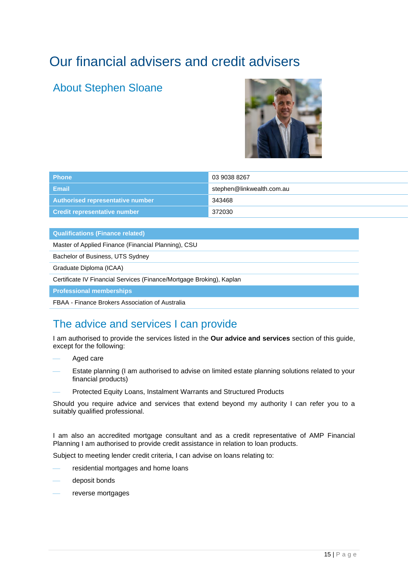# Our financial advisers and credit advisers

# About Stephen Sloane



| <b>Phone</b>                        | 03 9038 8267              |
|-------------------------------------|---------------------------|
| Email                               | stephen@linkwealth.com.au |
| Authorised representative number    | 343468                    |
| <b>Credit representative number</b> | 372030                    |

#### **Qualifications (Finance related)**

Master of Applied Finance (Financial Planning), CSU

Bachelor of Business, UTS Sydney

Graduate Diploma (ICAA)

Certificate IV Financial Services (Finance/Mortgage Broking), Kaplan

**Professional memberships**

FBAA - Finance Brokers Association of Australia

# The advice and services I can provide

I am authorised to provide the services listed in the **Our advice and services** section of this guide, except for the following:

- Aged care
- Estate planning (I am authorised to advise on limited estate planning solutions related to your financial products)
- Protected Equity Loans, Instalment Warrants and Structured Products

Should you require advice and services that extend beyond my authority I can refer you to a suitably qualified professional.

I am also an accredited mortgage consultant and as a credit representative of AMP Financial Planning I am authorised to provide credit assistance in relation to loan products.

Subject to meeting lender credit criteria, I can advise on loans relating to:

- residential mortgages and home loans
- deposit bonds
- reverse mortgages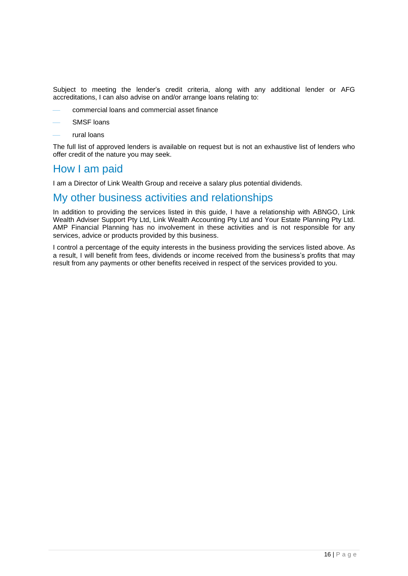Subject to meeting the lender's credit criteria, along with any additional lender or AFG accreditations, I can also advise on and/or arrange loans relating to:

- ⎯ commercial loans and commercial asset finance
- SMSF loans
- rural loans

The full list of approved lenders is available on request but is not an exhaustive list of lenders who offer credit of the nature you may seek.

# How I am paid

I am a Director of Link Wealth Group and receive a salary plus potential dividends.

# My other business activities and relationships

In addition to providing the services listed in this guide, I have a relationship with ABNGO, Link Wealth Adviser Support Pty Ltd, Link Wealth Accounting Pty Ltd and Your Estate Planning Pty Ltd. AMP Financial Planning has no involvement in these activities and is not responsible for any services, advice or products provided by this business.

I control a percentage of the equity interests in the business providing the services listed above. As a result, I will benefit from fees, dividends or income received from the business's profits that may result from any payments or other benefits received in respect of the services provided to you.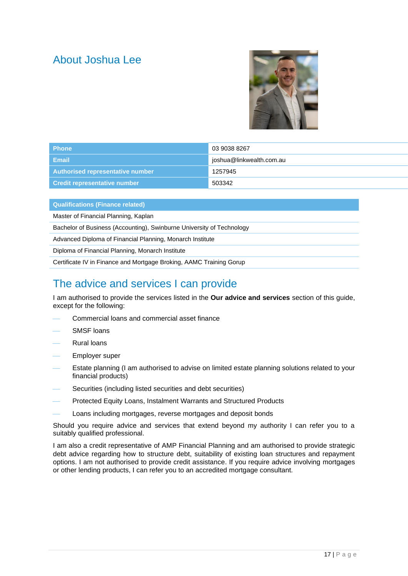# About Joshua Lee



| <b>Phone</b>                             | 03 9038 8267             |
|------------------------------------------|--------------------------|
| <b>Email</b>                             | joshua@linkwealth.com.au |
| Authorised representative number         | 1257945                  |
| ∣ Credit representative n <u>umber \</u> | 503342                   |

| <b>Qualifications (Finance related)</b>                               |
|-----------------------------------------------------------------------|
| Master of Financial Planning, Kaplan                                  |
| Bachelor of Business (Accounting), Swinburne University of Technology |
| Advanced Diploma of Financial Planning, Monarch Institute             |
| Diploma of Financial Planning, Monarch Institute                      |
| Certificate IV in Finance and Mortgage Broking, AAMC Training Gorup   |

# The advice and services I can provide

I am authorised to provide the services listed in the **Our advice and services** section of this guide, except for the following:

- ⎯ Commercial loans and commercial asset finance
- SMSF loans
- **Rural loans**
- Employer super
- Estate planning (I am authorised to advise on limited estate planning solutions related to your financial products)
- Securities (including listed securities and debt securities)
- Protected Equity Loans, Instalment Warrants and Structured Products
- Loans including mortgages, reverse mortgages and deposit bonds

Should you require advice and services that extend beyond my authority I can refer you to a suitably qualified professional.

I am also a credit representative of AMP Financial Planning and am authorised to provide strategic debt advice regarding how to structure debt, suitability of existing loan structures and repayment options. I am not authorised to provide credit assistance. If you require advice involving mortgages or other lending products, I can refer you to an accredited mortgage consultant.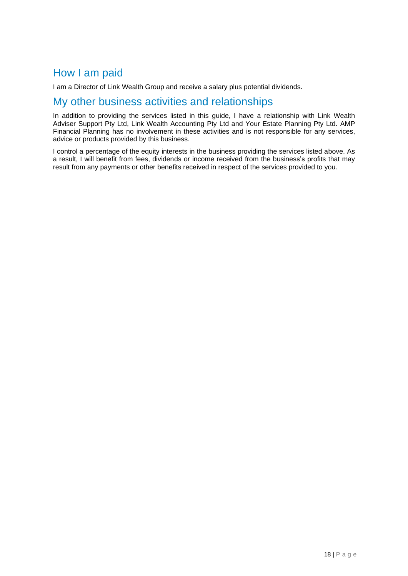# How I am paid

I am a Director of Link Wealth Group and receive a salary plus potential dividends.

# My other business activities and relationships

In addition to providing the services listed in this guide, I have a relationship with Link Wealth Adviser Support Pty Ltd, Link Wealth Accounting Pty Ltd and Your Estate Planning Pty Ltd. AMP Financial Planning has no involvement in these activities and is not responsible for any services, advice or products provided by this business.

I control a percentage of the equity interests in the business providing the services listed above. As a result, I will benefit from fees, dividends or income received from the business's profits that may result from any payments or other benefits received in respect of the services provided to you.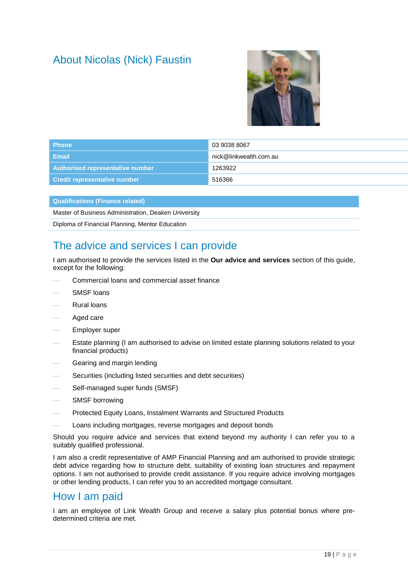# About Nicolas (Nick) Faustin



| <b>Phone</b>                     | 03 9038 8067           |
|----------------------------------|------------------------|
| Email                            | nick@linkwealth.com.au |
| Authorised representative number | 1263922                |
| Credit representative number     | 516366                 |

| <b>Qualifications (Finance related)</b>              |
|------------------------------------------------------|
| Master of Business Administration, Deaken University |
| Diploma of Financial Planning, Mentor Education      |

# The advice and services I can provide

I am authorised to provide the services listed in the **Our advice and services** section of this guide, except for the following:

- ⎯ Commercial loans and commercial asset finance
- SMSF loans
- **Rural loans**
- Aged care
- Employer super
- Estate planning (I am authorised to advise on limited estate planning solutions related to your financial products)
- Gearing and margin lending
- Securities (including listed securities and debt securities)
- Self-managed super funds (SMSF)
- SMSF borrowing
- Protected Equity Loans, Instalment Warrants and Structured Products
- Loans including mortgages, reverse mortgages and deposit bonds

Should you require advice and services that extend beyond my authority I can refer you to a suitably qualified professional.

I am also a credit representative of AMP Financial Planning and am authorised to provide strategic debt advice regarding how to structure debt, suitability of existing loan structures and repayment options. I am not authorised to provide credit assistance. If you require advice involving mortgages or other lending products, I can refer you to an accredited mortgage consultant.

# How I am paid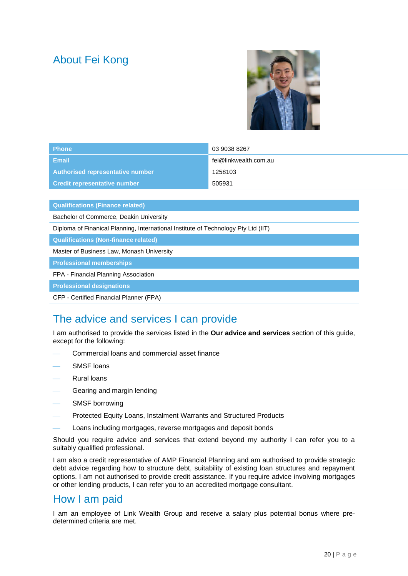# About Fei Kong



| <b>Phone</b>                            | 03 9038 8267          |
|-----------------------------------------|-----------------------|
| Email                                   | fei@linkwealth.com.au |
| <b>Authorised representative number</b> | 1258103               |
| <b>Credit representative number</b>     | 505931                |

**Qualifications (Finance related)**

Bachelor of Commerce, Deakin University

Diploma of Finanical Planning, International Institute of Technology Pty Ltd (IIT)

**Qualifications (Non-finance related)**

Master of Business Law, Monash University

**Professional memberships**

FPA - Financial Planning Association

**Professional designations**

CFP - Certified Financial Planner (FPA)

# The advice and services I can provide

I am authorised to provide the services listed in the **Our advice and services** section of this guide, except for the following:

- ⎯ Commercial loans and commercial asset finance
- SMSF loans
- **Rural loans**
- Gearing and margin lending
- SMSF borrowing
- Protected Equity Loans, Instalment Warrants and Structured Products
- Loans including mortgages, reverse mortgages and deposit bonds

Should you require advice and services that extend beyond my authority I can refer you to a suitably qualified professional.

I am also a credit representative of AMP Financial Planning and am authorised to provide strategic debt advice regarding how to structure debt, suitability of existing loan structures and repayment options. I am not authorised to provide credit assistance. If you require advice involving mortgages or other lending products, I can refer you to an accredited mortgage consultant.

# How I am paid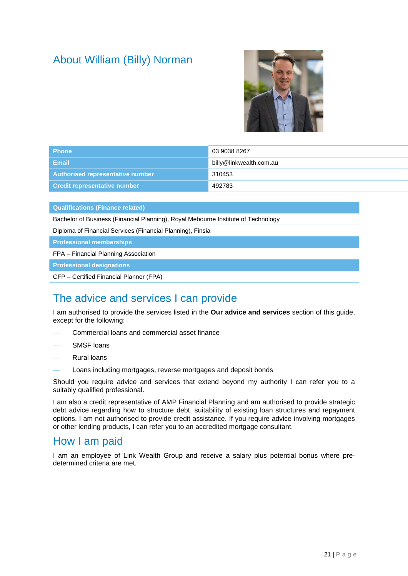# About William (Billy) Norman



| <b>Phone</b>                        | 03 9038 8267            |
|-------------------------------------|-------------------------|
| Email                               | billy@linkwealth.com.au |
| Authorised representative number    | 310453                  |
| <b>Credit representative number</b> | 492783                  |

**Qualifications (Finance related)**

Bachelor of Business (Financial Planning), Royal Mebourne Institute of Technology

Diploma of Financial Services (Financial Planning), Finsia

**Professional memberships**

FPA – Financial Planning Association

**Professional designations**

CFP – Certified Financial Planner (FPA)

# The advice and services I can provide

I am authorised to provide the services listed in the **Our advice and services** section of this guide, except for the following:

- Commercial loans and commercial asset finance
- SMSF loans
- Rural loans
- Loans including mortgages, reverse mortgages and deposit bonds

Should you require advice and services that extend beyond my authority I can refer you to a suitably qualified professional.

I am also a credit representative of AMP Financial Planning and am authorised to provide strategic debt advice regarding how to structure debt, suitability of existing loan structures and repayment options. I am not authorised to provide credit assistance. If you require advice involving mortgages or other lending products, I can refer you to an accredited mortgage consultant.

# How I am paid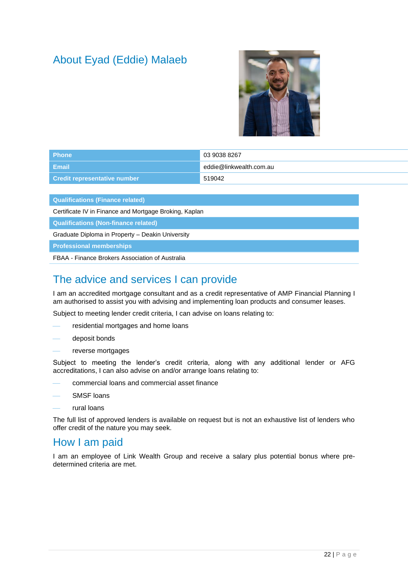# About Eyad (Eddie) Malaeb



| <b>Phone</b>                        | 03 9038 8267            |
|-------------------------------------|-------------------------|
| Email                               | eddie@linkwealth.com.au |
| <b>Credit representative number</b> | 519042                  |

**Qualifications (Finance related)**

Certificate IV in Finance and Mortgage Broking, Kaplan

**Qualifications (Non-finance related)**

Graduate Diploma in Property – Deakin University

#### **Professional memberships**

FBAA - Finance Brokers Association of Australia

# The advice and services I can provide

I am an accredited mortgage consultant and as a credit representative of AMP Financial Planning I am authorised to assist you with advising and implementing loan products and consumer leases.

Subject to meeting lender credit criteria, I can advise on loans relating to:

- residential mortgages and home loans
- deposit bonds
- reverse mortgages

Subject to meeting the lender's credit criteria, along with any additional lender or AFG accreditations, I can also advise on and/or arrange loans relating to:

- ⎯ commercial loans and commercial asset finance
- SMSF loans
- rural loans

The full list of approved lenders is available on request but is not an exhaustive list of lenders who offer credit of the nature you may seek.

# How I am paid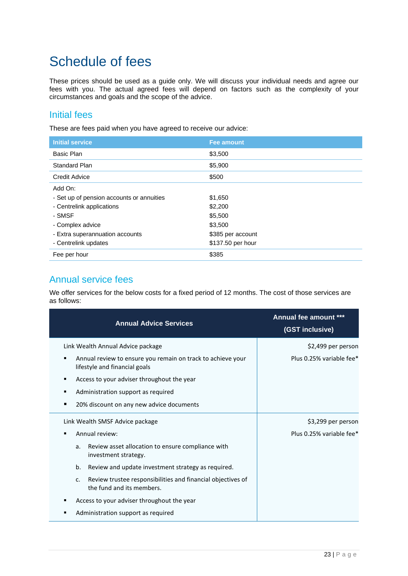# Schedule of fees

These prices should be used as a guide only. We will discuss your individual needs and agree our fees with you. The actual agreed fees will depend on factors such as the complexity of your circumstances and goals and the scope of the advice.

### Initial fees

These are fees paid when you have agreed to receive our advice:

| <b>Initial service</b>                    | <b>Fee amount</b> |
|-------------------------------------------|-------------------|
| <b>Basic Plan</b>                         | \$3,500           |
| <b>Standard Plan</b>                      | \$5,900           |
| <b>Credit Advice</b>                      | \$500             |
| Add On:                                   |                   |
| - Set up of pension accounts or annuities | \$1,650           |
| - Centrelink applications                 | \$2,200           |
| - SMSF                                    | \$5,500           |
| - Complex advice                          | \$3,500           |
| - Extra superannuation accounts           | \$385 per account |
| - Centrelink updates                      | \$137.50 per hour |
| Fee per hour                              | \$385             |

# Annual service fees

We offer services for the below costs for a fixed period of 12 months. The cost of those services are as follows:

| <b>Annual Advice Services</b>                                                                     | <b>Annual fee amount</b><br>(GST inclusive) |
|---------------------------------------------------------------------------------------------------|---------------------------------------------|
| Link Wealth Annual Advice package                                                                 | \$2,499 per person                          |
| Annual review to ensure you remain on track to achieve your<br>٠<br>lifestyle and financial goals | Plus 0.25% variable fee*                    |
| Access to your adviser throughout the year<br>٠                                                   |                                             |
| Administration support as required<br>٠                                                           |                                             |
| 20% discount on any new advice documents<br>■                                                     |                                             |
| Link Wealth SMSF Advice package                                                                   | \$3,299 per person                          |
| Annual review:                                                                                    | Plus 0.25% variable fee*                    |
| Review asset allocation to ensure compliance with<br>a.<br>investment strategy.                   |                                             |
| b.<br>Review and update investment strategy as required.                                          |                                             |
| Review trustee responsibilities and financial objectives of<br>c.<br>the fund and its members.    |                                             |
| Access to your adviser throughout the year                                                        |                                             |
| Administration support as required                                                                |                                             |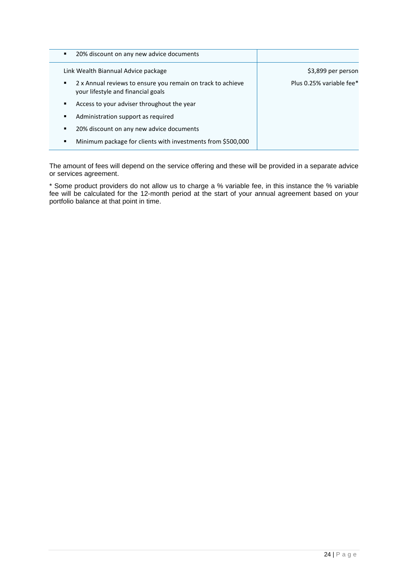| 20% discount on any new advice documents<br>٠                                                          |                          |
|--------------------------------------------------------------------------------------------------------|--------------------------|
| Link Wealth Biannual Advice package                                                                    | \$3,899 per person       |
| 2 x Annual reviews to ensure you remain on track to achieve<br>٠<br>your lifestyle and financial goals | Plus 0.25% variable fee* |
| Access to your adviser throughout the year<br>٠                                                        |                          |
| Administration support as required<br>٠                                                                |                          |
| 20% discount on any new advice documents<br>٠                                                          |                          |
| Minimum package for clients with investments from \$500,000<br>٠                                       |                          |

The amount of fees will depend on the service offering and these will be provided in a separate advice or services agreement.

\* Some product providers do not allow us to charge a % variable fee, in this instance the % variable fee will be calculated for the 12-month period at the start of your annual agreement based on your portfolio balance at that point in time.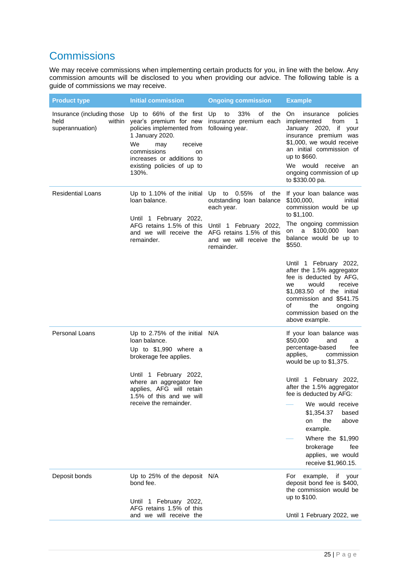# **Commissions**

We may receive commissions when implementing certain products for you, in line with the below. Any commission amounts will be disclosed to you when providing our advice. The following table is a guide of commissions we may receive.

| 33%<br>Up to 66% of the first<br>Insurance (including those<br>Up<br>to<br>οf<br>the<br>On.<br>policies<br>insurance<br>held<br>year's premium for new<br>within<br>insurance premium each<br>implemented<br>from<br>$\overline{1}$<br>policies implemented from following year.<br>January 2020, if your<br>superannuation)<br>1 January 2020.<br>insurance premium was<br>\$1,000, we would receive<br>We<br>may<br>receive<br>an initial commission of<br>commissions<br>on<br>up to \$660.<br>increases or additions to<br>We would<br>existing policies of up to<br>receive<br>an<br>ongoing commission of up<br>130%.<br>to \$330.00 pa.<br><b>Residential Loans</b><br>Up to 1.10% of the initial<br>Up to 0.55%<br>If your loan balance was<br>of the<br>loan balance.<br>outstanding loan balance<br>\$100,000,<br>initial<br>each year.<br>commission would be up<br>to \$1,100.<br>Until 1 February 2022,<br>The ongoing commission<br>AFG retains 1.5% of this<br>Until 1 February 2022,<br>a \$100,000<br>loan<br>on<br>and we will receive the AFG retains 1.5% of this<br>balance would be up to<br>remainder.<br>and we will receive the<br>\$550.<br>remainder.<br>Until 1 February 2022,<br>after the 1.5% aggregator<br>fee is deducted by AFG,<br>would<br>receive<br>we<br>\$1,083.50 of the initial<br>commission and \$541.75<br>οf<br>the<br>ongoing<br>commission based on the<br>above example.<br>Personal Loans<br>Up to 2.75% of the initial N/A<br>If your loan balance was<br>loan balance.<br>\$50,000<br>and<br>a<br>percentage-based<br>fee<br>Up to $$1,990$ where a<br>applies,<br>commission<br>brokerage fee applies.<br>would be up to \$1,375.<br>Until 1 February 2022,<br>Until 1 February 2022,<br>where an aggregator fee<br>after the 1.5% aggregator<br>applies, AFG will retain<br>fee is deducted by AFG:<br>1.5% of this and we will<br>receive the remainder.<br>We would receive<br>\$1,354.37<br>based<br>the<br>above<br>on<br>example.<br>Where the \$1,990<br>brokerage<br>fee<br>applies, we would<br>receive \$1,960.15.<br>Deposit bonds<br>Up to 25% of the deposit N/A<br>example,<br>For<br>if your<br>deposit bond fee is \$400,<br>bond fee.<br>the commission would be<br>up to \$100.<br>Until 1 February 2022,<br>AFG retains 1.5% of this | <b>Product type</b> | <b>Initial commission</b> | <b>Ongoing commission</b> | <b>Example</b>            |
|--------------------------------------------------------------------------------------------------------------------------------------------------------------------------------------------------------------------------------------------------------------------------------------------------------------------------------------------------------------------------------------------------------------------------------------------------------------------------------------------------------------------------------------------------------------------------------------------------------------------------------------------------------------------------------------------------------------------------------------------------------------------------------------------------------------------------------------------------------------------------------------------------------------------------------------------------------------------------------------------------------------------------------------------------------------------------------------------------------------------------------------------------------------------------------------------------------------------------------------------------------------------------------------------------------------------------------------------------------------------------------------------------------------------------------------------------------------------------------------------------------------------------------------------------------------------------------------------------------------------------------------------------------------------------------------------------------------------------------------------------------------------------------------------------------------------------------------------------------------------------------------------------------------------------------------------------------------------------------------------------------------------------------------------------------------------------------------------------------------------------------------------------------------------------------------------------------------------------------------------------------------------------------------------------------------|---------------------|---------------------------|---------------------------|---------------------------|
|                                                                                                                                                                                                                                                                                                                                                                                                                                                                                                                                                                                                                                                                                                                                                                                                                                                                                                                                                                                                                                                                                                                                                                                                                                                                                                                                                                                                                                                                                                                                                                                                                                                                                                                                                                                                                                                                                                                                                                                                                                                                                                                                                                                                                                                                                                              |                     |                           |                           |                           |
|                                                                                                                                                                                                                                                                                                                                                                                                                                                                                                                                                                                                                                                                                                                                                                                                                                                                                                                                                                                                                                                                                                                                                                                                                                                                                                                                                                                                                                                                                                                                                                                                                                                                                                                                                                                                                                                                                                                                                                                                                                                                                                                                                                                                                                                                                                              |                     |                           |                           |                           |
|                                                                                                                                                                                                                                                                                                                                                                                                                                                                                                                                                                                                                                                                                                                                                                                                                                                                                                                                                                                                                                                                                                                                                                                                                                                                                                                                                                                                                                                                                                                                                                                                                                                                                                                                                                                                                                                                                                                                                                                                                                                                                                                                                                                                                                                                                                              |                     |                           |                           |                           |
|                                                                                                                                                                                                                                                                                                                                                                                                                                                                                                                                                                                                                                                                                                                                                                                                                                                                                                                                                                                                                                                                                                                                                                                                                                                                                                                                                                                                                                                                                                                                                                                                                                                                                                                                                                                                                                                                                                                                                                                                                                                                                                                                                                                                                                                                                                              |                     |                           |                           |                           |
|                                                                                                                                                                                                                                                                                                                                                                                                                                                                                                                                                                                                                                                                                                                                                                                                                                                                                                                                                                                                                                                                                                                                                                                                                                                                                                                                                                                                                                                                                                                                                                                                                                                                                                                                                                                                                                                                                                                                                                                                                                                                                                                                                                                                                                                                                                              |                     | and we will receive the   |                           | Until 1 February 2022, we |